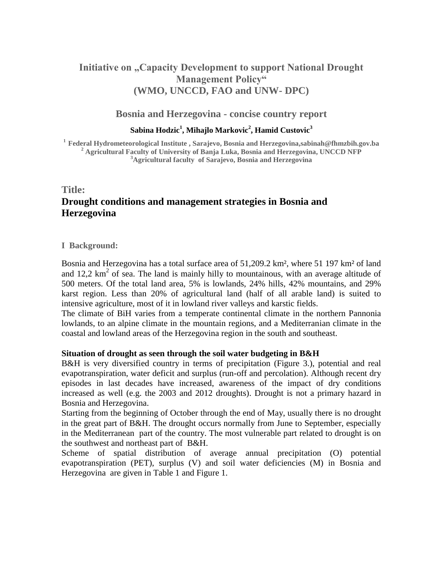# **Initiative on "Capacity Development to support National Drought Management Policy" (WMO, UNCCD, FAO and UNW- DPC)**

### **Bosnia and Herzegovina - concise country report**

#### **Sabina Hodzic<sup>1</sup> , Mihajlo Markovic<sup>2</sup> , Hamid Custovic<sup>3</sup>**

**<sup>1</sup>Federal Hydrometeorological Institute , Sarajevo, Bosnia and Herzegovina,sabinah@fhmzbih.gov.ba <sup>2</sup> Agricultural Faculty of University of Banja Luka, Bosnia and Herzegovina, UNCCD NFP <sup>3</sup>Agricultural faculty of Sarajevo, Bosnia and Herzegovina**

## **Title: Drought conditions and management strategies in Bosnia and Herzegovina**

#### **I Background:**

Bosnia and Herzegovina has a total surface area of 51,209.2 km², where 51 197 km² of land and 12,2  $\text{km}^2$  of sea. The land is mainly hilly to mountainous, with an average altitude of 500 meters. Of the total land area, 5% is lowlands, 24% hills, 42% mountains, and 29% karst region. Less than 20% of agricultural land (half of all arable land) is suited to intensive agriculture, most of it in lowland river valleys and karstic fields.

The climate of BiH varies from a temperate continental climate in the northern Pannonia lowlands, to an alpine climate in the mountain regions, and a Mediterranian climate in the coastal and lowland areas of the Herzegovina region in the south and southeast.

#### **Situation of drought as seen through the soil water budgeting in B&H**

B&H is very diversified country in terms of precipitation (Figure 3.), potential and real evapotranspiration, water deficit and surplus (run-off and percolation). Although recent dry episodes in last decades have increased, awareness of the impact of dry conditions increased as well (e.g. the 2003 and 2012 droughts). Drought is not a primary hazard in Bosnia and Herzegovina.

Starting from the beginning of October through the end of May, usually there is no drought in the great part of B&H. The drought occurs normally from June to September, especially in the Mediterranean part of the country. The most vulnerable part related to drought is on the southwest and northeast part of B&H.

Scheme of spatial distribution of average annual precipitation (O) potential evapotranspiration (PET), surplus (V) and soil water deficiencies (M) in Bosnia and Herzegovina are given in Table 1 and Figure 1.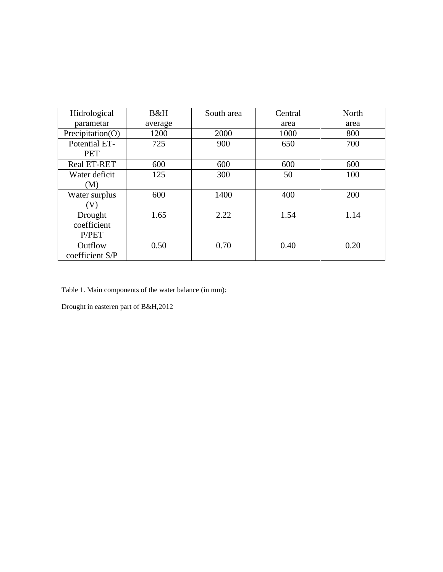| Hidrological                    | B&H     | South area | Central | North |
|---------------------------------|---------|------------|---------|-------|
| parametar                       | average |            | area    | area  |
| Precipitation(O)                | 1200    | 2000       | 1000    | 800   |
| Potential ET-<br><b>PET</b>     | 725     | 900        | 650     | 700   |
| <b>Real ET-RET</b>              | 600     | 600        | 600     | 600   |
| Water deficit<br>(M)            | 125     | 300        | 50      | 100   |
| Water surplus<br>V)             | 600     | 1400       | 400     | 200   |
| Drought<br>coefficient<br>P/PET | 1.65    | 2.22       | 1.54    | 1.14  |
| Outflow<br>coefficient S/P      | 0.50    | 0.70       | 0.40    | 0.20  |

Table 1. Main components of the water balance (in mm):

Drought in easteren part of B&H,2012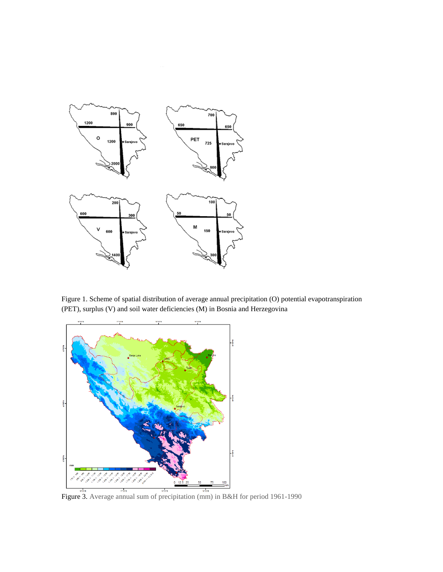

Figure 1. Scheme of spatial distribution of average annual precipitation (O) potential evapotranspiration (PET), surplus (V) and soil water deficiencies (M) in Bosnia and Herzegovina

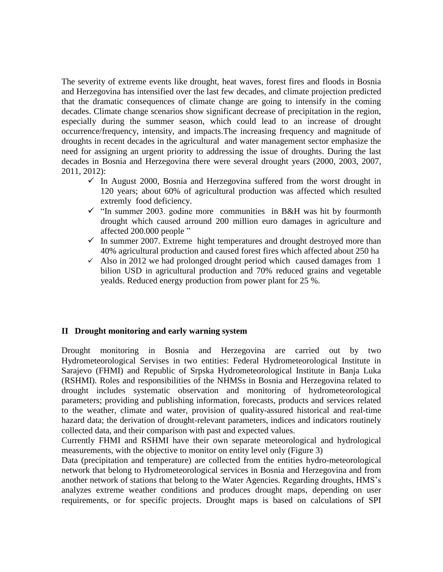The severity of extreme events like drought, heat waves, forest fires and floods in Bosnia and Herzegovina has intensified over the last few decades, and climate projection predicted that the dramatic consequences of climate change are going to intensify in the coming decades. Climate change scenarios show significant decrease of precipitation in the region, especially during the summer season, which could lead to an increase of drought occurrence/frequency, intensity, and impacts.The increasing frequency and magnitude of droughts in recent decades in the agricultural and water management sector emphasize the need for assigning an urgent priority to addressing the issue of droughts. During the last decades in Bosnia and Herzegovina there were several drought years (2000, 2003, 2007, 2011, 2012):

- $\checkmark$  In August 2000, Bosnia and Herzegovina suffered from the worst drought in 120 years; about 60% of agricultural production was affected which resulted extremly food deficiency.
- $\checkmark$  "In summer 2003. godine more communities in B&H was hit by fourmonth drought which caused arround 200 million euro damages in agriculture and affected 200.000 people "
- $\checkmark$  In summer 2007. Extreme hight temperatures and drought destroyed more than 40% agricultural production and caused forest fires which affected about 250 ha
- $\checkmark$  Also in 2012 we had prolonged drought period which caused damages from 1 bilion USD in agricultural production and 70% reduced grains and vegetable yealds. Reduced energy production from power plant for 25 %.

#### **II Drought monitoring and early warning system**

Drought monitoring in Bosnia and Herzegovina are carried out by two Hydrometeorological Servises in two entities: Federal Hydrometeorological Institute in Sarajevo (FHMI) and Republic of Srpska Hydrometeorological Institute in Banja Luka (RSHMI). Roles and responsibilities of the NHMSs in Bosnia and Herzegovina related to drought includes systematic observation and monitoring of hydrometeorological parameters; providing and publishing information, forecasts, products and services related to the weather, climate and water, provision of quality-assured historical and real-time hazard data; the derivation of drought-relevant parameters, indices and indicators routinely collected data, and their comparison with past and expected values.

Currently FHMI and RSHMI have their own separate meteorological and hydrological measurements, with the objective to monitor on entity level only (Figure 3)

Data (precipitation and temperature) are collected from the entities hydro-meteorological network that belong to Hydrometeorological services in Bosnia and Herzegovina and from another network of stations that belong to the Water Agencies. Regarding droughts, HMS's analyzes extreme weather conditions and produces drought maps, depending on user requirements, or for specific projects. Drought maps is based on calculations of SPI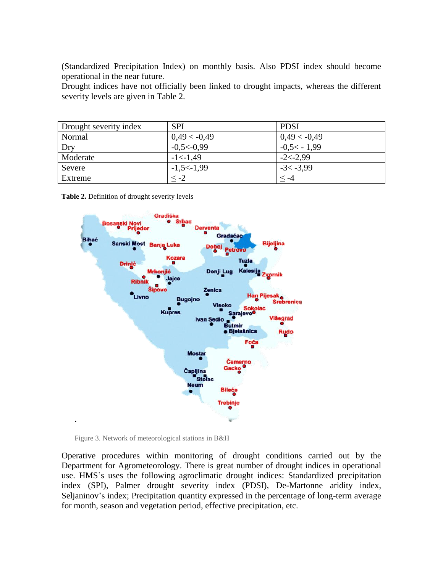(Standardized Precipitation Index) on monthly basis. Also PDSI index should become operational in the near future.

Drought indices have not officially been linked to drought impacts, whereas the different severity levels are given in Table 2.

| Drought severity index | <b>SPI</b>     | <b>PDSI</b>    |
|------------------------|----------------|----------------|
| Normal                 | $0,49 < -0,49$ | $0,49 < -0,49$ |
| Dry                    | $-0.5<0.99$    | $-0.5< -1.99$  |
| Moderate               | $-1 < -1,49$   | $-2 < -2.99$   |
| Severe                 | $-1,5<-1,99$   | $-3 < -3.99$   |
| Extreme                | $\leq -2$      | ⊂ -4           |

**Table 2.** Definition of drought severity levels



Figure 3. Network of meteorological stations in B&H

Operative procedures within monitoring of drought conditions carried out by the Department for Agrometeorology. There is great number of drought indices in operational use. HMS's uses the following agroclimatic drought indices: Standardized precipitation index (SPI), Palmer drought severity index (PDSI), De-Martonne aridity index, Seljaninov's index; Precipitation quantity expressed in the percentage of long-term average for month, season and vegetation period, effective precipitation, etc.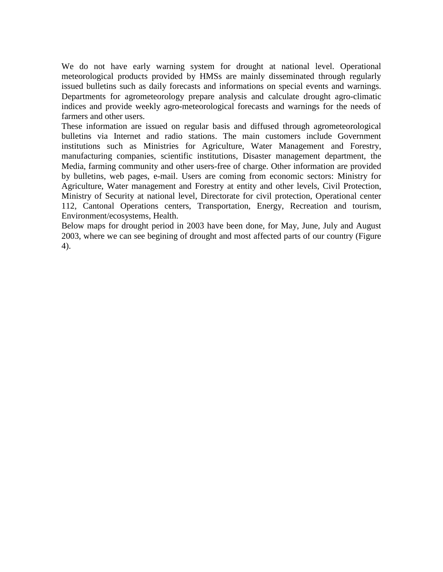We do not have early warning system for drought at national level. Operational meteorological products provided by HMSs are mainly disseminated through regularly issued bulletins such as daily forecasts and informations on special events and warnings. Departments for agrometeorology prepare analysis and calculate drought agro-climatic indices and provide weekly agro-meteorological forecasts and warnings for the needs of farmers and other users.

These information are issued on regular basis and diffused through agrometeorological bulletins via Internet and radio stations. The main customers include Government institutions such as Ministries for Agriculture, Water Management and Forestry, manufacturing companies, scientific institutions, Disaster management department, the Media, farming community and other users-free of charge. Other information are provided by bulletins, web pages, e-mail. Users are coming from economic sectors: Ministry for Agriculture, Water management and Forestry at entity and other levels, Civil Protection, Ministry of Security at national level, Directorate for civil protection, Operational center 112, Cantonal Operations centers, Transportation, Energy, Recreation and tourism, Environment/ecosystems, Health.

Below maps for drought period in 2003 have been done, for May, June, July and August 2003, where we can see begining of drought and most affected parts of our country (Figure 4).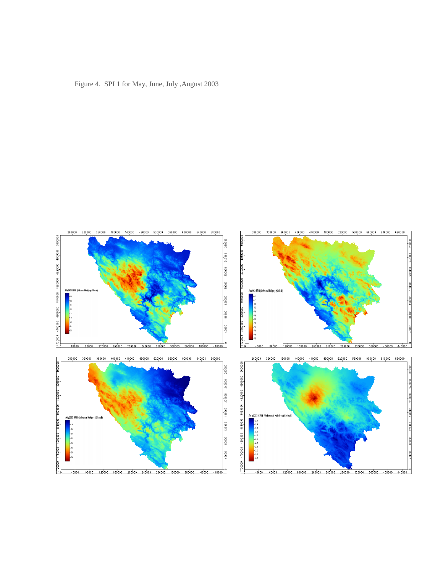Figure 4. SPI 1 for May, June, July ,August 2003

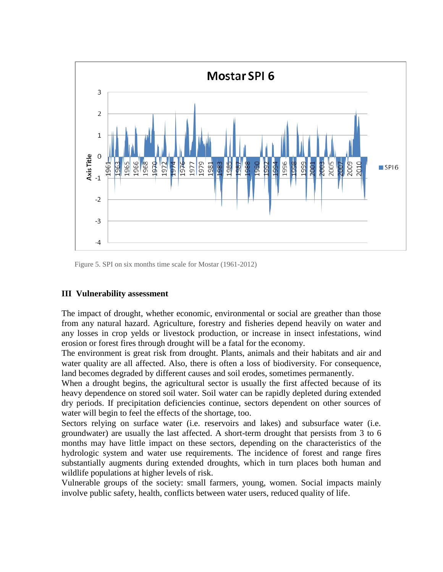

Figure 5. SPI on six months time scale for Mostar (1961-2012)

#### **III Vulnerability assessment**

The impact of drought, whether economic, environmental or social are greather than those from any natural hazard. Agriculture, forestry and fisheries depend heavily on water and any losses in crop yelds or livestock production, or increase in insect infestations, wind erosion or forest fires through drought will be a fatal for the economy.

The environment is great risk from drought. Plants, animals and their habitats and air and water quality are all affected. Also, there is often a loss of biodiversity. For consequence, land becomes degraded by different causes and soil erodes, sometimes permanently.

When a drought begins, the agricultural sector is usually the first affected because of its heavy dependence on stored soil water. Soil water can be rapidly depleted during extended dry periods. If precipitation deficiencies continue, sectors dependent on other sources of water will begin to feel the effects of the shortage, too.

Sectors relying on surface water (i.e. reservoirs and lakes) and subsurface water (i.e. groundwater) are usually the last affected. A short-term drought that persists from 3 to 6 months may have little impact on these sectors, depending on the characteristics of the hydrologic system and water use requirements. The incidence of forest and range fires substantially augments during extended droughts, which in turn places both human and wildlife populations at higher levels of risk.

Vulnerable groups of the society: small farmers, young, women. Social impacts mainly involve public safety, health, conflicts between water users, reduced quality of life.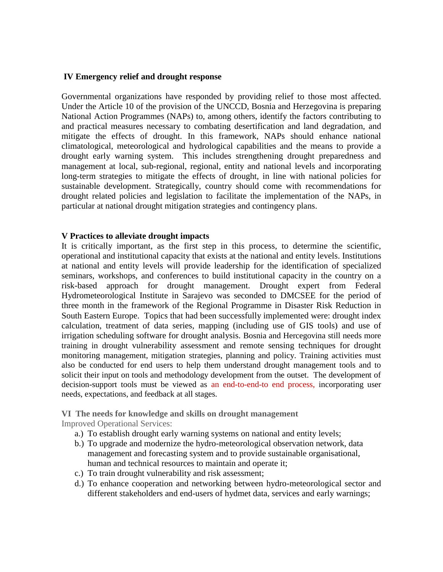#### **IV Emergency relief and drought response**

Governmental organizations have responded by providing relief to those most affected. Under the Article 10 of the provision of the UNCCD, Bosnia and Herzegovina is preparing National Action Programmes (NAPs) to, among others, identify the factors contributing to and practical measures necessary to combating desertification and land degradation, and mitigate the effects of drought. In this framework, NAPs should enhance national climatological, meteorological and hydrological capabilities and the means to provide a drought early warning system. This includes strengthening drought preparedness and management at local, sub-regional, regional, entity and national levels and incorporating long-term strategies to mitigate the effects of drought, in line with national policies for sustainable development. Strategically, country should come with recommendations for drought related policies and legislation to facilitate the implementation of the NAPs, in particular at national drought mitigation strategies and contingency plans.

#### **V Practices to alleviate drought impacts**

It is critically important, as the first step in this process, to determine the scientific, operational and institutional capacity that exists at the national and entity levels. Institutions at national and entity levels will provide leadership for the identification of specialized seminars, workshops, and conferences to build institutional capacity in the country on a risk-based approach for drought management. Drought expert from Federal Hydrometeorological Institute in Sarajevo was seconded to DMCSEE for the period of three month in the framework of the Regional Programme in Disaster Risk Reduction in South Eastern Europe. Topics that had been successfully implemented were: drought index calculation, treatment of data series, mapping (including use of GIS tools) and use of irrigation scheduling software for drought analysis. Bosnia and Hercegovina still needs more training in drought vulnerability assessment and remote sensing techniques for drought monitoring management, mitigation strategies, planning and policy. Training activities must also be conducted for end users to help them understand drought management tools and to solicit their input on tools and methodology development from the outset. The development of decision-support tools must be viewed as an end-to-end-to end process, incorporating user needs, expectations, and feedback at all stages.

**VI The needs for knowledge and skills on drought management**

Improved Operational Services:

- a.) To establish drought early warning systems on national and entity levels;
- b.) To upgrade and modernize the hydro-meteorological observation network, data management and forecasting system and to provide sustainable organisational, human and technical resources to maintain and operate it;
- c.) To train drought vulnerability and risk assessment;
- d.) To enhance cooperation and networking between hydro-meteorological sector and different stakeholders and end-users of hydmet data, services and early warnings;